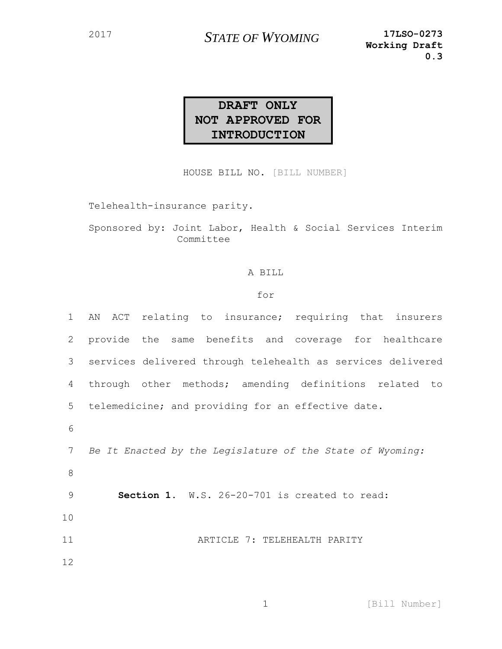## **DRAFT ONLY NOT APPROVED FOR INTRODUCTION**

HOUSE BILL NO. [BILL NUMBER]

Telehealth-insurance parity.

Sponsored by: Joint Labor, Health & Social Services Interim Committee

## A BILL

## for

| 1  | AN ACT relating to insurance; requiring that insurers       |
|----|-------------------------------------------------------------|
| 2  | provide the same benefits and coverage for healthcare       |
| 3  | services delivered through telehealth as services delivered |
| 4  | through other methods; amending definitions related to      |
| 5  | telemedicine; and providing for an effective date.          |
| 6  |                                                             |
| 7  | Be It Enacted by the Legislature of the State of Wyoming:   |
| 8  |                                                             |
| 9  | Section 1. W.S. 26-20-701 is created to read:               |
| 10 |                                                             |
| 11 | ARTICLE 7: TELEHEALTH PARITY                                |
| 12 |                                                             |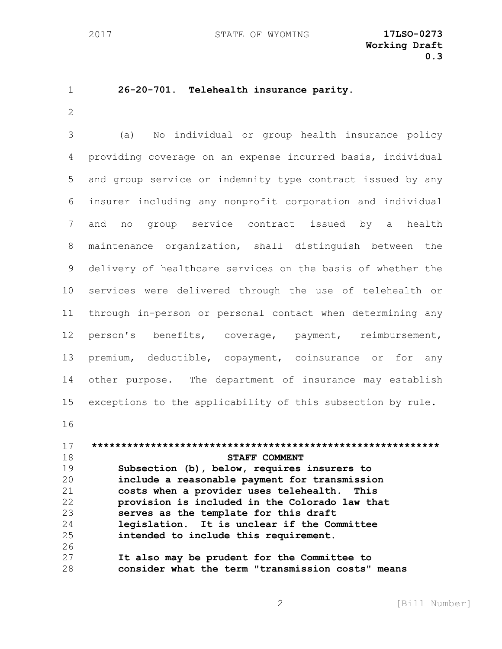## **26-20-701. Telehealth insurance parity.** (a) No individual or group health insurance policy providing coverage on an expense incurred basis, individual and group service or indemnity type contract issued by any insurer including any nonprofit corporation and individual and no group service contract issued by a health maintenance organization, shall distinguish between the delivery of healthcare services on the basis of whether the services were delivered through the use of telehealth or through in-person or personal contact when determining any person's benefits, coverage, payment, reimbursement, premium, deductible, copayment, coinsurance or for any other purpose. The department of insurance may establish exceptions to the applicability of this subsection by rule. **\*\*\*\*\*\*\*\*\*\*\*\*\*\*\*\*\*\*\*\*\*\*\*\*\*\*\*\*\*\*\*\*\*\*\*\*\*\*\*\*\*\*\*\*\*\*\*\*\*\*\*\*\*\*\*\*\*\*\* STAFF COMMENT Subsection (b), below, requires insurers to include a reasonable payment for transmission costs when a provider uses telehealth. This provision is included in the Colorado law that serves as the template for this draft legislation. It is unclear if the Committee intended to include this requirement. It also may be prudent for the Committee to**

**consider what the term "transmission costs" means**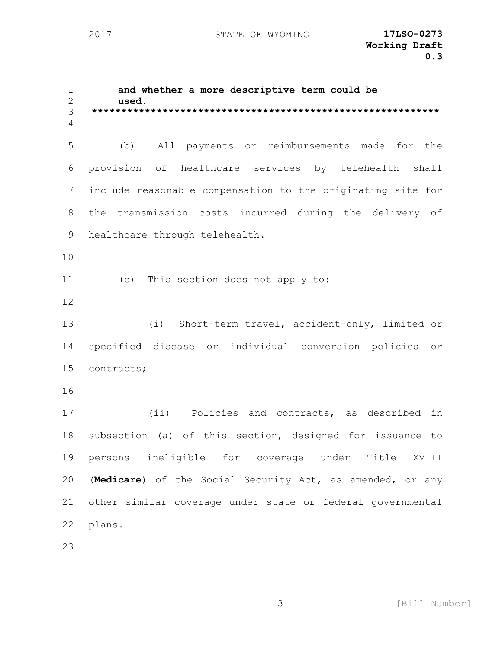**and whether a more descriptive term could be used. \*\*\*\*\*\*\*\*\*\*\*\*\*\*\*\*\*\*\*\*\*\*\*\*\*\*\*\*\*\*\*\*\*\*\*\*\*\*\*\*\*\*\*\*\*\*\*\*\*\*\*\*\*\*\*\*\*\*\*** (b) All payments or reimbursements made for the provision of healthcare services by telehealth shall include reasonable compensation to the originating site for the transmission costs incurred during the delivery of healthcare through telehealth. (c) This section does not apply to: (i) Short-term travel, accident-only, limited or specified disease or individual conversion policies or contracts; (ii) Policies and contracts, as described in subsection (a) of this section, designed for issuance to persons ineligible for coverage under Title XVIII (**Medicare**) of the Social Security Act, as amended, or any other similar coverage under state or federal governmental plans.

[Bill Number]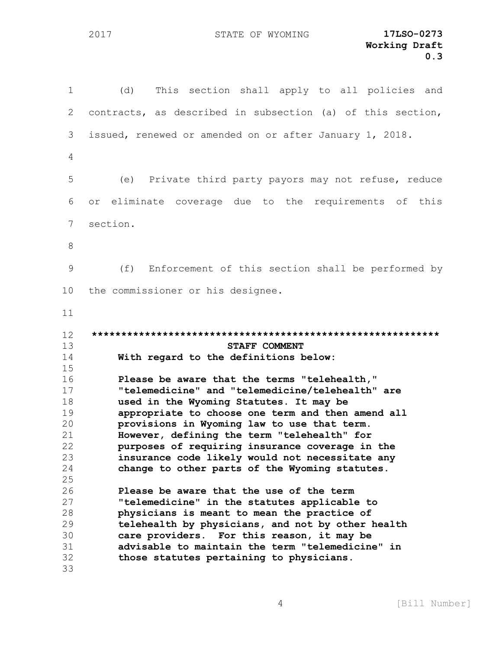(d) This section shall apply to all policies and contracts, as described in subsection (a) of this section, issued, renewed or amended on or after January 1, 2018. (e) Private third party payors may not refuse, reduce or eliminate coverage due to the requirements of this section. (f) Enforcement of this section shall be performed by the commissioner or his designee. **\*\*\*\*\*\*\*\*\*\*\*\*\*\*\*\*\*\*\*\*\*\*\*\*\*\*\*\*\*\*\*\*\*\*\*\*\*\*\*\*\*\*\*\*\*\*\*\*\*\*\*\*\*\*\*\*\*\*\* STAFF COMMENT With regard to the definitions below: Please be aware that the terms "telehealth," "telemedicine" and "telemedicine/telehealth" are used in the Wyoming Statutes. It may be appropriate to choose one term and then amend all provisions in Wyoming law to use that term. However, defining the term "telehealth" for purposes of requiring insurance coverage in the insurance code likely would not necessitate any change to other parts of the Wyoming statutes. Please be aware that the use of the term "telemedicine" in the statutes applicable to physicians is meant to mean the practice of telehealth by physicians, and not by other health care providers. For this reason, it may be advisable to maintain the term "telemedicine" in those statutes pertaining to physicians.**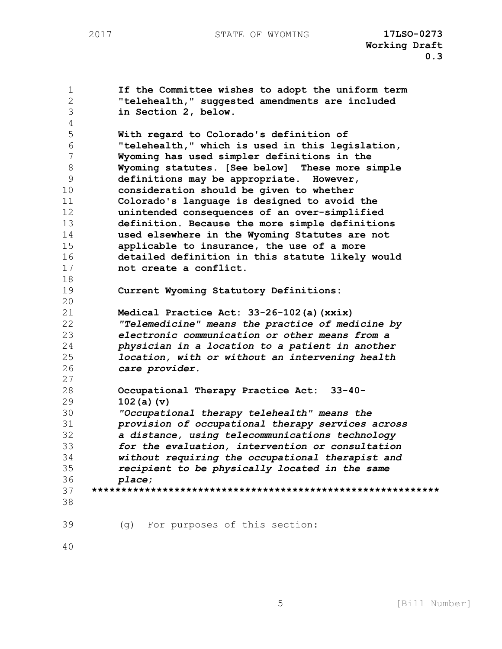**If the Committee wishes to adopt the uniform term "telehealth," suggested amendments are included in Section 2, below. With regard to Colorado's definition of "telehealth," which is used in this legislation, Wyoming has used simpler definitions in the Wyoming statutes. [See below] These more simple definitions may be appropriate. However, consideration should be given to whether Colorado's language is designed to avoid the unintended consequences of an over-simplified definition. Because the more simple definitions used elsewhere in the Wyoming Statutes are not applicable to insurance, the use of a more detailed definition in this statute likely would not create a conflict. Current Wyoming Statutory Definitions: Medical Practice Act: 33-26-102(a)(xxix)**  *"Telemedicine" means the practice of medicine by electronic communication or other means from a physician in a location to a patient in another location, with or without an intervening health care provider***. Occupational Therapy Practice Act: 33-40- 102(a)(v)**  *"Occupational therapy telehealth" means the provision of occupational therapy services across a distance, using telecommunications technology for the evaluation, intervention or consultation without requiring the occupational therapist and recipient to be physically located in the same place***; \*\*\*\*\*\*\*\*\*\*\*\*\*\*\*\*\*\*\*\*\*\*\*\*\*\*\*\*\*\*\*\*\*\*\*\*\*\*\*\*\*\*\*\*\*\*\*\*\*\*\*\*\*\*\*\*\*\*\*** (g) For purposes of this section: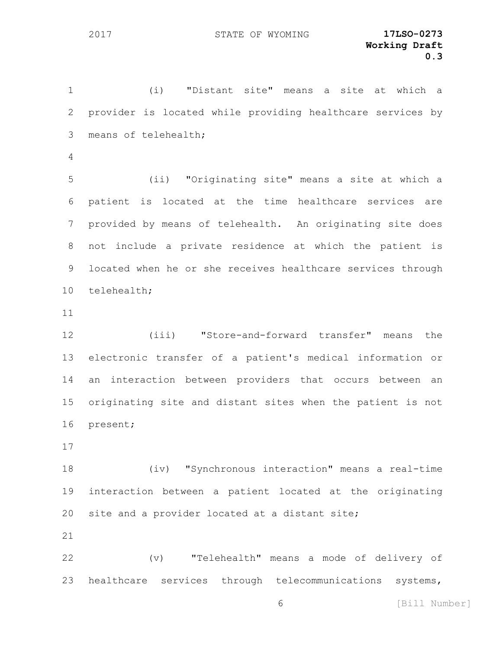(i) "Distant site" means a site at which a provider is located while providing healthcare services by means of telehealth;

 (ii) "Originating site" means a site at which a patient is located at the time healthcare services are provided by means of telehealth. An originating site does not include a private residence at which the patient is located when he or she receives healthcare services through telehealth;

 (iii) "Store-and-forward transfer" means the electronic transfer of a patient's medical information or an interaction between providers that occurs between an originating site and distant sites when the patient is not present;

 (iv) "Synchronous interaction" means a real-time interaction between a patient located at the originating site and a provider located at a distant site;

 (v) "Telehealth" means a mode of delivery of healthcare services through telecommunications systems,

[Bill Number]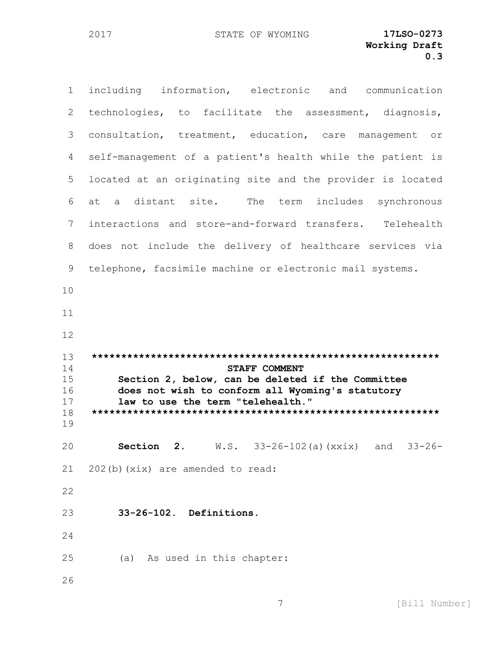including information, electronic and communication technologies, to facilitate the assessment, diagnosis, consultation, treatment, education, care management or self-management of a patient's health while the patient is located at an originating site and the provider is located at a distant site. The term includes synchronous interactions and store-and-forward transfers. Telehealth does not include the delivery of healthcare services via telephone, facsimile machine or electronic mail systems. **\*\*\*\*\*\*\*\*\*\*\*\*\*\*\*\*\*\*\*\*\*\*\*\*\*\*\*\*\*\*\*\*\*\*\*\*\*\*\*\*\*\*\*\*\*\*\*\*\*\*\*\*\*\*\*\*\*\*\* STAFF COMMENT Section 2, below, can be deleted if the Committee does not wish to conform all Wyoming's statutory law to use the term "telehealth." \*\*\*\*\*\*\*\*\*\*\*\*\*\*\*\*\*\*\*\*\*\*\*\*\*\*\*\*\*\*\*\*\*\*\*\*\*\*\*\*\*\*\*\*\*\*\*\*\*\*\*\*\*\*\*\*\*\*\* Section 2.** W.S. 33-26-102(a)(xxix) and 33-26- 202(b)(xix) are amended to read: **33-26-102. Definitions**. (a) As used in this chapter: